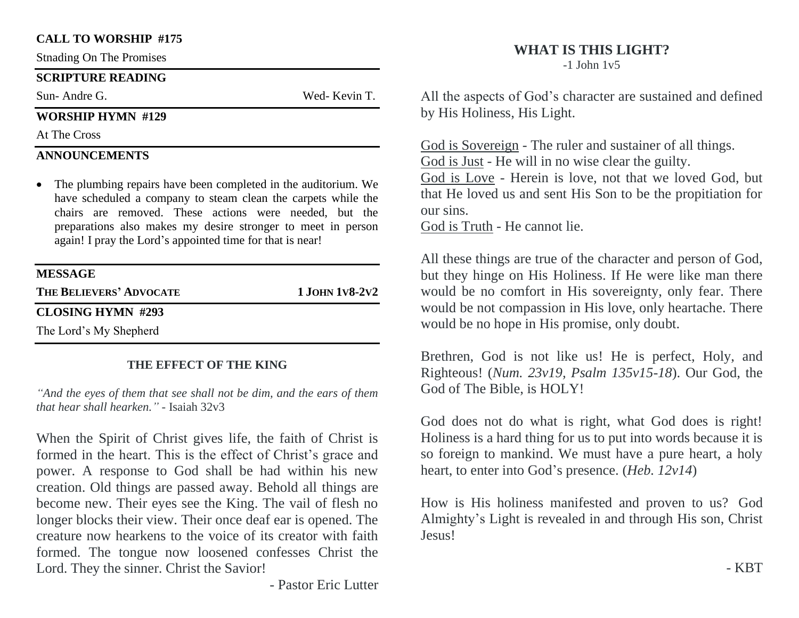#### **CALL TO WORSHIP #175**

Stnading On The Promises

#### **SCRIPTURE READING**

Sun- Andre G. Wed- Kevin T.

### **WORSHIP HYMN #129**

At The Cross

## **ANNOUNCEMENTS**

• The plumbing repairs have been completed in the auditorium. We have scheduled a company to steam clean the carpets while the chairs are removed. These actions were needed, but the preparations also makes my desire stronger to meet in person again! I pray the Lord's appointed time for that is near!

### **MESSAGE**

**THE BELIEVERS' ADVOCATE 1 JOHN 1V8-2V2**

## **CLOSING HYMN #293**

The Lord's My Shepherd

## **THE EFFECT OF THE KING**

*"And the eyes of them that see shall not be dim, and the ears of them that hear shall hearken." -* Isaiah 32v3

When the Spirit of Christ gives life, the faith of Christ is formed in the heart. This is the effect of Christ's grace and power. A response to God shall be had within his new creation. Old things are passed away. Behold all things are become new. Their eyes see the King. The vail of flesh no longer blocks their view. Their once deaf ear is opened. The creature now hearkens to the voice of its creator with faith formed. The tongue now loosened confesses Christ the Lord. They the sinner. Christ the Savior!

# **WHAT IS THIS LIGHT?**

-1 John 1v5

All the aspects of God's character are sustained and defined by His Holiness, His Light.

God is Sovereign - The ruler and sustainer of all things. God is Just - He will in no wise clear the guilty.

God is Love - Herein is love, not that we loved God, but that He loved us and sent His Son to be the propitiation for our sins.

God is Truth - He cannot lie.

All these things are true of the character and person of God, but they hinge on His Holiness. If He were like man there would be no comfort in His sovereignty, only fear. There would be not compassion in His love, only heartache. There would be no hope in His promise, only doubt.

Brethren, God is not like us! He is perfect, Holy, and Righteous! (*Num. 23v19, Psalm 135v15-18*). Our God, the God of The Bible, is HOLY!

God does not do what is right, what God does is right! Holiness is a hard thing for us to put into words because it is so foreign to mankind. We must have a pure heart, a holy heart, to enter into God's presence. (*Heb. 12v14*)

How is His holiness manifested and proven to us? God Almighty's Light is revealed in and through His son, Christ Jesus!

- Pastor Eric Lutter